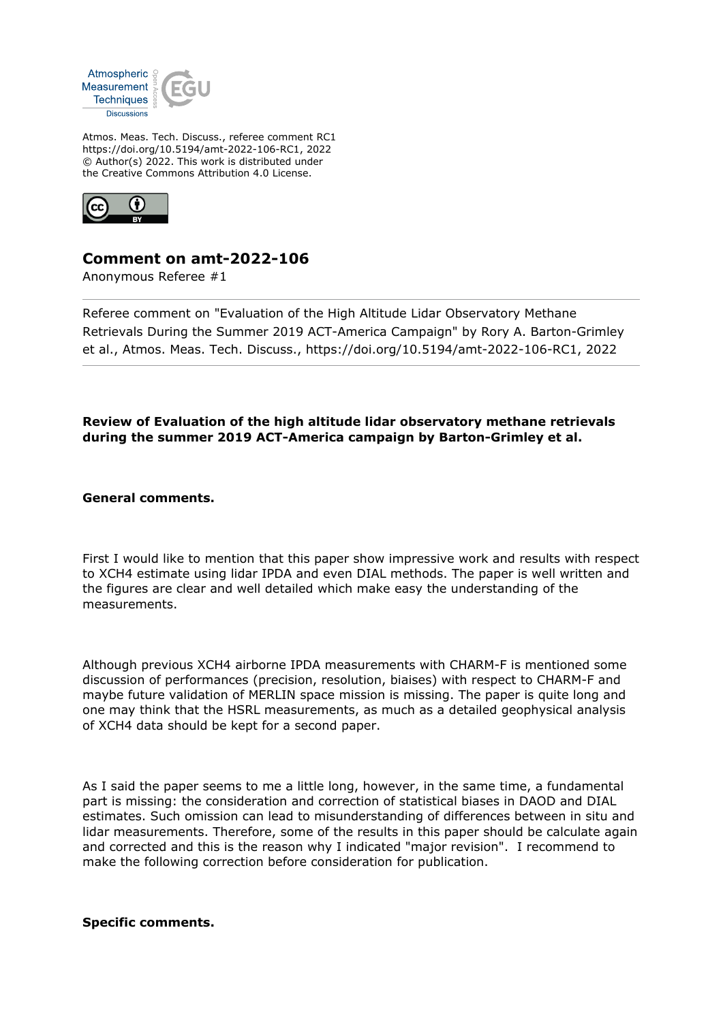

Atmos. Meas. Tech. Discuss., referee comment RC1 https://doi.org/10.5194/amt-2022-106-RC1, 2022 © Author(s) 2022. This work is distributed under the Creative Commons Attribution 4.0 License.



# **Comment on amt-2022-106**

Anonymous Referee #1

Referee comment on "Evaluation of the High Altitude Lidar Observatory Methane Retrievals During the Summer 2019 ACT-America Campaign" by Rory A. Barton-Grimley et al., Atmos. Meas. Tech. Discuss., https://doi.org/10.5194/amt-2022-106-RC1, 2022

**Review of Evaluation of the high altitude lidar observatory methane retrievals during the summer 2019 ACT-America campaign by Barton-Grimley et al.**

**General comments.**

First I would like to mention that this paper show impressive work and results with respect to XCH4 estimate using lidar IPDA and even DIAL methods. The paper is well written and the figures are clear and well detailed which make easy the understanding of the measurements.

Although previous XCH4 airborne IPDA measurements with CHARM-F is mentioned some discussion of performances (precision, resolution, biaises) with respect to CHARM-F and maybe future validation of MERLIN space mission is missing. The paper is quite long and one may think that the HSRL measurements, as much as a detailed geophysical analysis of XCH4 data should be kept for a second paper.

As I said the paper seems to me a little long, however, in the same time, a fundamental part is missing: the consideration and correction of statistical biases in DAOD and DIAL estimates. Such omission can lead to misunderstanding of differences between in situ and lidar measurements. Therefore, some of the results in this paper should be calculate again and corrected and this is the reason why I indicated "major revision". I recommend to make the following correction before consideration for publication.

**Specific comments.**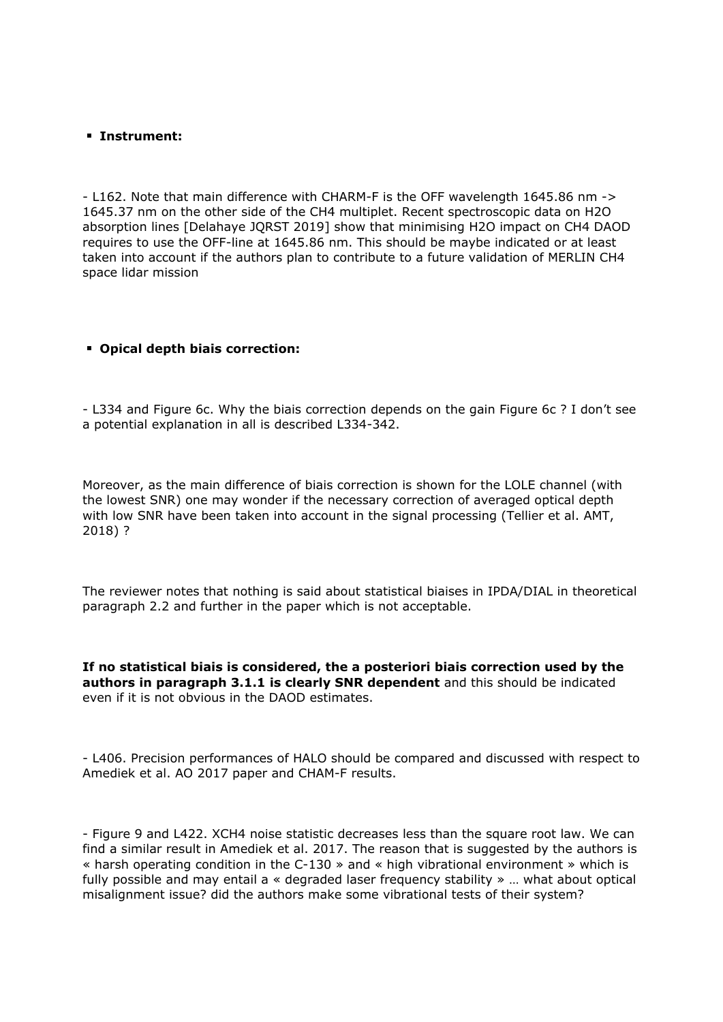#### **Instrument:**

- L162. Note that main difference with CHARM-F is the OFF wavelength 1645.86 nm -> 1645.37 nm on the other side of the CH4 multiplet. Recent spectroscopic data on H2O absorption lines [Delahaye JQRST 2019] show that minimising H2O impact on CH4 DAOD requires to use the OFF-line at 1645.86 nm. This should be maybe indicated or at least taken into account if the authors plan to contribute to a future validation of MERLIN CH4 space lidar mission

### **Opical depth biais correction:**

- L334 and Figure 6c. Why the biais correction depends on the gain Figure 6c ? I don't see a potential explanation in all is described L334-342.

Moreover, as the main difference of biais correction is shown for the LOLE channel (with the lowest SNR) one may wonder if the necessary correction of averaged optical depth with low SNR have been taken into account in the signal processing (Tellier et al. AMT, 2018) ?

The reviewer notes that nothing is said about statistical biaises in IPDA/DIAL in theoretical paragraph 2.2 and further in the paper which is not acceptable.

**If no statistical biais is considered, the a posteriori biais correction used by the authors in paragraph 3.1.1 is clearly SNR dependent** and this should be indicated even if it is not obvious in the DAOD estimates.

- L406. Precision performances of HALO should be compared and discussed with respect to Amediek et al. AO 2017 paper and CHAM-F results.

- Figure 9 and L422. XCH4 noise statistic decreases less than the square root law. We can find a similar result in Amediek et al. 2017. The reason that is suggested by the authors is « harsh operating condition in the C-130 » and « high vibrational environment » which is fully possible and may entail a « degraded laser frequency stability » … what about optical misalignment issue? did the authors make some vibrational tests of their system?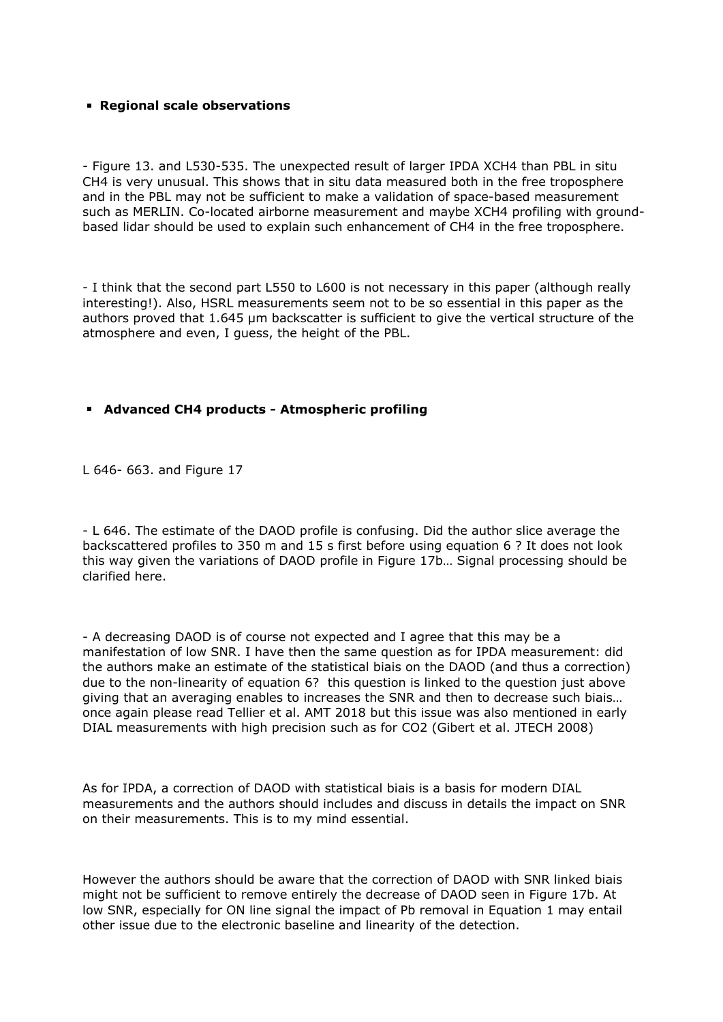### **Regional scale observations**

- Figure 13. and L530-535. The unexpected result of larger IPDA XCH4 than PBL in situ CH4 is very unusual. This shows that in situ data measured both in the free troposphere and in the PBL may not be sufficient to make a validation of space-based measurement such as MERLIN. Co-located airborne measurement and maybe XCH4 profiling with groundbased lidar should be used to explain such enhancement of CH4 in the free troposphere.

- I think that the second part L550 to L600 is not necessary in this paper (although really interesting!). Also, HSRL measurements seem not to be so essential in this paper as the authors proved that 1.645 µm backscatter is sufficient to give the vertical structure of the atmosphere and even, I guess, the height of the PBL.

### **Advanced CH4 products - Atmospheric profiling**

L 646- 663. and Figure 17

- L 646. The estimate of the DAOD profile is confusing. Did the author slice average the backscattered profiles to 350 m and 15 s first before using equation 6 ? It does not look this way given the variations of DAOD profile in Figure 17b… Signal processing should be clarified here.

- A decreasing DAOD is of course not expected and I agree that this may be a manifestation of low SNR. I have then the same question as for IPDA measurement: did the authors make an estimate of the statistical biais on the DAOD (and thus a correction) due to the non-linearity of equation 6? this question is linked to the question just above giving that an averaging enables to increases the SNR and then to decrease such biais… once again please read Tellier et al. AMT 2018 but this issue was also mentioned in early DIAL measurements with high precision such as for CO2 (Gibert et al. JTECH 2008)

As for IPDA, a correction of DAOD with statistical biais is a basis for modern DIAL measurements and the authors should includes and discuss in details the impact on SNR on their measurements. This is to my mind essential.

However the authors should be aware that the correction of DAOD with SNR linked biais might not be sufficient to remove entirely the decrease of DAOD seen in Figure 17b. At low SNR, especially for ON line signal the impact of Pb removal in Equation 1 may entail other issue due to the electronic baseline and linearity of the detection.